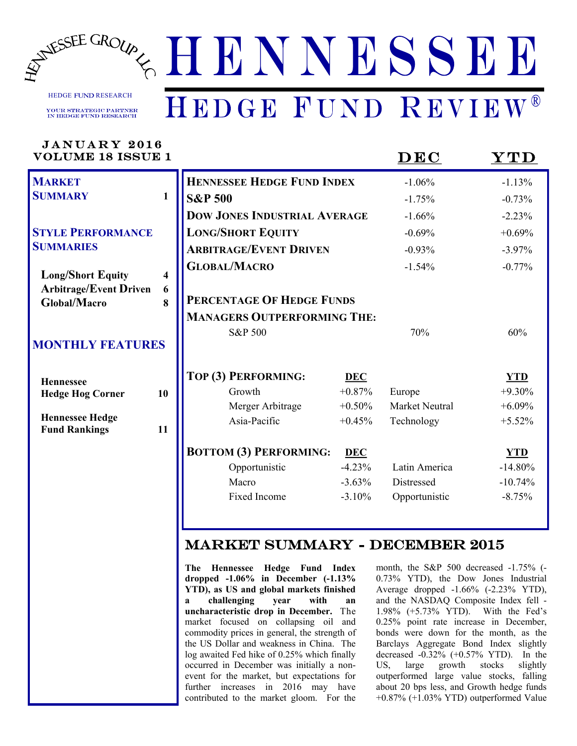

HEDGE FUND RESEARCH **YOUR STRATEGIC PARTNER**<br>IN HEDGE FUND RESEARCH

# HEDGE FUND REVIEW®

| JANUARY 2016<br><b>VOLUME 18 ISSUE 1</b>             |              |                                                                                                                       |            | DEC                                                                                                                       | $\bf YTD$  |
|------------------------------------------------------|--------------|-----------------------------------------------------------------------------------------------------------------------|------------|---------------------------------------------------------------------------------------------------------------------------|------------|
| <b>MARKET</b>                                        |              | <b>HENNESSEE HEDGE FUND INDEX</b>                                                                                     |            | $-1.06%$                                                                                                                  | $-1.13%$   |
| <b>SUMMARY</b>                                       | $\mathbf{1}$ | <b>S&amp;P 500</b>                                                                                                    |            | $-1.75%$                                                                                                                  | $-0.73%$   |
|                                                      |              | <b>DOW JONES INDUSTRIAL AVERAGE</b>                                                                                   |            | $-1.66%$                                                                                                                  | $-2.23%$   |
| <b>STYLE PERFORMANCE</b>                             |              | <b>LONG/SHORT EQUITY</b>                                                                                              |            | $-0.69%$                                                                                                                  | $+0.69%$   |
| <b>SUMMARIES</b>                                     |              | <b>ARBITRAGE/EVENT DRIVEN</b>                                                                                         |            | $-0.93%$                                                                                                                  | $-3.97\%$  |
| <b>Long/Short Equity</b>                             | 4            | <b>GLOBAL/MACRO</b>                                                                                                   |            | $-1.54%$                                                                                                                  | $-0.77%$   |
| <b>Arbitrage/Event Driven</b><br><b>Global/Macro</b> | 6<br>8       | PERCENTAGE OF HEDGE FUNDS                                                                                             |            |                                                                                                                           |            |
|                                                      |              | <b>MANAGERS OUTPERFORMING THE:</b>                                                                                    |            |                                                                                                                           |            |
|                                                      |              | S&P 500                                                                                                               |            | 70%                                                                                                                       | 60%        |
| <b>MONTHLY FEATURES</b>                              |              |                                                                                                                       |            |                                                                                                                           |            |
| <b>Hennessee</b>                                     |              | TOP (3) PERFORMING:                                                                                                   | <b>DEC</b> |                                                                                                                           | <b>YTD</b> |
| <b>Hedge Hog Corner</b>                              | 10           | Growth                                                                                                                | $+0.87%$   | Europe                                                                                                                    | $+9.30%$   |
|                                                      |              | Merger Arbitrage                                                                                                      | $+0.50%$   | Market Neutral                                                                                                            | $+6.09%$   |
| <b>Hennessee Hedge</b><br><b>Fund Rankings</b>       | 11           | Asia-Pacific                                                                                                          | $+0.45%$   | Technology                                                                                                                | $+5.52%$   |
|                                                      |              | <b>BOTTOM (3) PERFORMING:</b>                                                                                         | <b>DEC</b> |                                                                                                                           | <b>YTD</b> |
|                                                      |              | Opportunistic                                                                                                         | $-4.23%$   | Latin America                                                                                                             | $-14.80%$  |
|                                                      |              | Macro                                                                                                                 | $-3.63%$   | Distressed                                                                                                                | $-10.74%$  |
|                                                      |              | Fixed Income                                                                                                          | $-3.10%$   | Opportunistic                                                                                                             | $-8.75%$   |
|                                                      |              |                                                                                                                       |            |                                                                                                                           |            |
|                                                      |              | <b>MARKET SUMMARY - DECEMBER 2015</b>                                                                                 |            |                                                                                                                           |            |
|                                                      |              | The Hennessee Hedge Fund Index<br>dropped $-1.06\%$ in December $(-1.13\%$<br>YTD), as US and global markets finished |            | month, the S&P 500 decreased -1.75% (<br>0.73% YTD), the Dow Jones Industria<br>Average dropped $-1.66\%$ $(-2.23\%$ YTD) |            |

H N Y N Y

*WWW.HENNESSEEGROUP.COM* HEDGE FUND REVIEWS

**YTD), as US and global markets finished a challenging year with an uncharacteristic drop in December.** The market focused on collapsing oil and commodity prices in general, the strength of the US Dollar and weakness in China. The log awaited Fed hike of 0.25% which finally occurred in December was initially a nonevent for the market, but expectations for further increases in 2016 may have contributed to the market gloom. For the

month, the S&P 500 decreased -1.75% (- 0.73% YTD), the Dow Jones Industrial Average dropped -1.66% (-2.23% YTD), and the NASDAQ Composite Index fell - 1.98% (+5.73% YTD). With the Fed's 0.25% point rate increase in December, bonds were down for the month, as the Barclays Aggregate Bond Index slightly decreased -0.32% (+0.57% YTD). In the US, large growth stocks slightly outperformed large value stocks, falling about 20 bps less, and Growth hedge funds +0.87% (+1.03% YTD) outperformed Value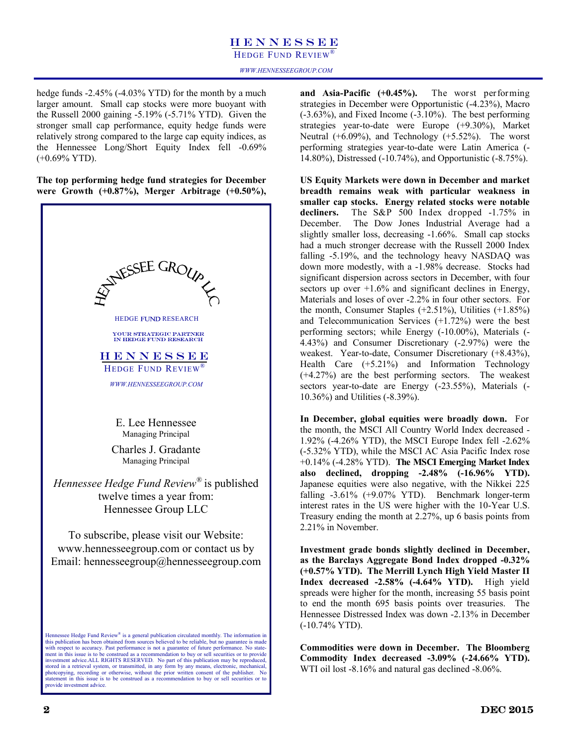HEDGE FUND REVIEW<sup>®</sup>

hedge funds -2.45% (-4.03% YTD) for the month by a much larger amount. Small cap stocks were more buoyant with the Russell 2000 gaining -5.19% (-5.71% YTD). Given the stronger small cap performance, equity hedge funds were relatively strong compared to the large cap equity indices, as the Hennessee Long/Short Equity Index fell -0.69% (+0.69% YTD).

**The top performing hedge fund strategies for December were Growth (+0.87%), Merger Arbitrage (+0.50%),** 



**and Asia-Pacific (+0.45%).** The worst performing strategies in December were Opportunistic (-4.23%), Macro (-3.63%), and Fixed Income (-3.10%). The best performing strategies year-to-date were Europe (+9.30%), Market Neutral (+6.09%), and Technology (+5.52%).The worst performing strategies year-to-date were Latin America (- 14.80%), Distressed (-10.74%), and Opportunistic (-8.75%).

**US Equity Markets were down in December and market breadth remains weak with particular weakness in smaller cap stocks. Energy related stocks were notable decliners.** The S&P 500 Index dropped -1.75% in December. The Dow Jones Industrial Average had a slightly smaller loss, decreasing -1.66%. Small cap stocks had a much stronger decrease with the Russell 2000 Index falling -5.19%, and the technology heavy NASDAQ was down more modestly, with a -1.98% decrease. Stocks had significant dispersion across sectors in December, with four sectors up over  $+1.6\%$  and significant declines in Energy, Materials and loses of over -2.2% in four other sectors. For the month, Consumer Staples  $(+2.51\%)$ , Utilities  $(+1.85\%)$ and Telecommunication Services (+1.72%) were the best performing sectors; while Energy (-10.00%), Materials (- 4.43%) and Consumer Discretionary (-2.97%) were the weakest. Year-to-date, Consumer Discretionary (+8.43%), Health Care (+5.21%) and Information Technology (+4.27%) are the best performing sectors. The weakest sectors year-to-date are Energy (-23.55%), Materials (- 10.36%) and Utilities (-8.39%).

**In December, global equities were broadly down.** For the month, the MSCI All Country World Index decreased - 1.92% (-4.26% YTD), the MSCI Europe Index fell -2.62% (-5.32% YTD), while the MSCI AC Asia Pacific Index rose +0.14% (-4.28% YTD). **The MSCI Emerging Market Index also declined, dropping -2.48% (-16.96% YTD).** Japanese equities were also negative, with the Nikkei 225 falling -3.61% (+9.07% YTD). Benchmark longer-term interest rates in the US were higher with the 10-Year U.S. Treasury ending the month at 2.27%, up 6 basis points from 2.21% in November.

**Investment grade bonds slightly declined in December, as the Barclays Aggregate Bond Index dropped -0.32% (+0.57% YTD). The Merrill Lynch High Yield Master II Index decreased -2.58% (-4.64% YTD).** High yield spreads were higher for the month, increasing 55 basis point to end the month 695 basis points over treasuries. The Hennessee Distressed Index was down -2.13% in December (-10.74% YTD).

**Commodities were down in December. The Bloomberg Commodity Index decreased -3.09% (-24.66% YTD).** WTI oil lost  $-8.16\%$  and natural gas declined  $-8.06\%$ .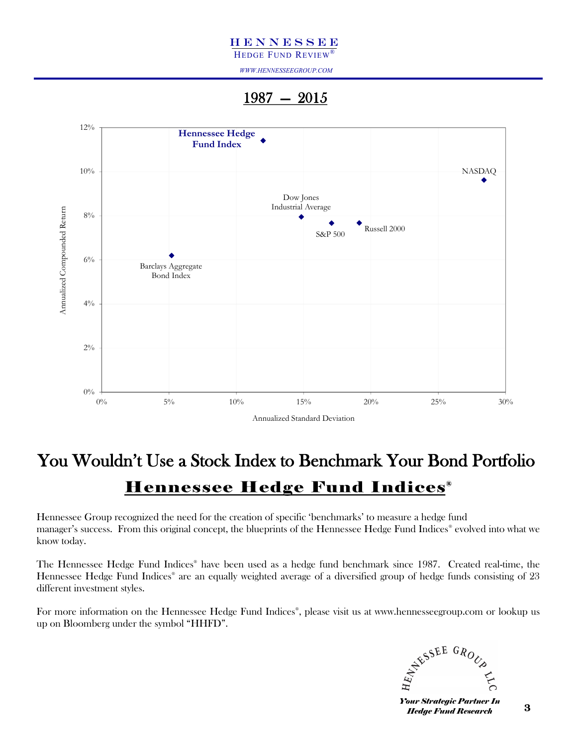HEDGE FUND REVIEW®

*WWW.HENNESSEEGROUP.COM*

1987 — 2015



## You Wouldn't Use a Stock Index to Benchmark Your Bond Portfolio **Hennessee Hedge Fund Indices**<sup>®</sup>

Hennessee Group recognized the need for the creation of specific 'benchmarks' to measure a hedge fund manager's success. From this original concept, the blueprints of the Hennessee Hedge Fund Indices® evolved into what we know today.

The Hennessee Hedge Fund Indices® have been used as a hedge fund benchmark since 1987. Created real-time, the Hennessee Hedge Fund Indices® are an equally weighted average of a diversified group of hedge funds consisting of 23 different investment styles.

For more information on the Hennessee Hedge Fund Indices® , please visit us at www.hennesseegroup.com or lookup us up on Bloomberg under the symbol "HHFD".



*Your Strategic Partner In Hedge Fund Research*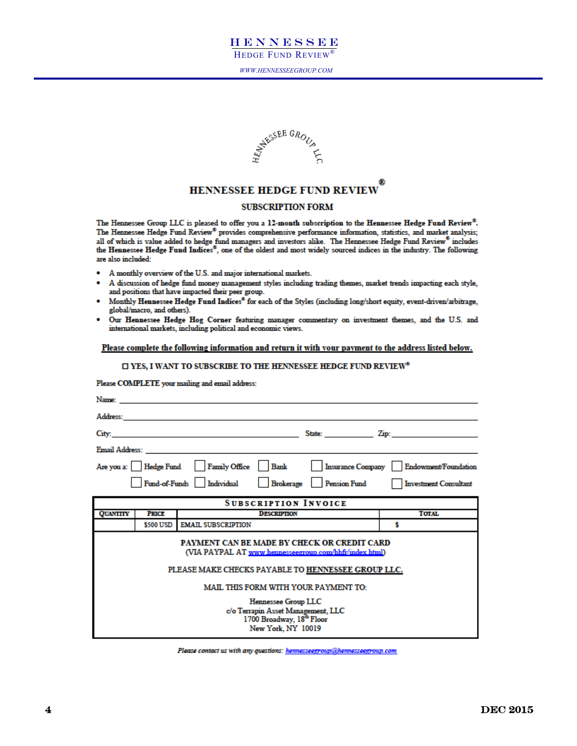

*WWW.HENNESSEEGROUP.COM*



### HENNESSEE HEDGE FUND REVIEW

### **SUBSCRIPTION FORM**

The Hennessee Group LLC is pleased to offer you a 12-month subscription to the Hennessee Hedge Fund Review®. The Hennessee Hedge Fund Review® provides comprehensive performance information, statistics, and market analysis; all of which is value added to hedge fund managers and investors alike. The Hennessee Hedge Fund Review® includes the Hennessee Hedge Fund Indices®, one of the oldest and most widely sourced indices in the industry. The following are also included:

- A monthly overview of the U.S. and major international markets.
- A discussion of hedge fund money management styles including trading themes, market trends impacting each style, and positions that have impacted their peer group.
- Monthly Hennessee Hedge Fund Indices® for each of the Styles (including long/short equity, event-driven/arbitrage, global/macro, and others).
- Our Hennessee Hedge Hog Corner featuring manager commentary on investment themes, and the U.S. and international markets, including political and economic views.

### Please complete the following information and return it with your payment to the address listed below.

### $\square$  YES, I WANT TO SUBSCRIBE TO THE HENNESSEE HEDGE FUND REVIEW®

Please COMPLETE your mailing and email address:

| Name:           |              |                                                                                                                                                                                                                                    |                              |
|-----------------|--------------|------------------------------------------------------------------------------------------------------------------------------------------------------------------------------------------------------------------------------------|------------------------------|
| Address:        |              |                                                                                                                                                                                                                                    |                              |
| City:           |              | <u> 1980 - Johann Stein, marwolaethau a bhann an t-Albann an t-Albann an t-Albann an t-Albann an t-Albann an t-Alb</u>                                                                                                             | State: Zip: Zip:             |
|                 |              | <b>Email Address:</b> The contract of the contract of the contract of the contract of the contract of the contract of the contract of the contract of the contract of the contract of the contract of the contract of the contract |                              |
|                 |              | Are you a: Hedge Fund Family Office Bank<br><b>Insurance Company</b>                                                                                                                                                               | Endowment/Foundation         |
|                 |              | Fund-of-Funds Individual<br>Brokerage Pension Fund                                                                                                                                                                                 | <b>Investment Consultant</b> |
|                 |              | <b>SUBSCRIPTION INVOICE</b>                                                                                                                                                                                                        |                              |
| <b>QUANTITY</b> | <b>PRICE</b> | <b>DESCRIPTION</b>                                                                                                                                                                                                                 | <b>TOTAL</b>                 |
|                 | \$500 USD    | <b>EMAIL SUBSCRIPTION</b>                                                                                                                                                                                                          | s                            |
|                 |              | PAYMENT CAN BE MADE BY CHECK OR CREDIT CARD<br>(VIA PAYPAL AT www.hennesseegroup.com/hhfr/index.html)<br>PLEASE MAKE CHECKS PAYABLE TO HENNESSEE GROUP LLC.                                                                        |                              |
|                 |              | <b>MAIL THIS FORM WITH YOUR PAYMENT TO:</b>                                                                                                                                                                                        |                              |
|                 |              | <b>Hennessee Group LLC</b><br>c/o Terrapin Asset Management, LLC<br>1700 Broadway, $18^{\text{th}}$ Floor<br>New York, NY 10019                                                                                                    |                              |

Please contact us with any questions: hennesseegroup@hennesseegroup.com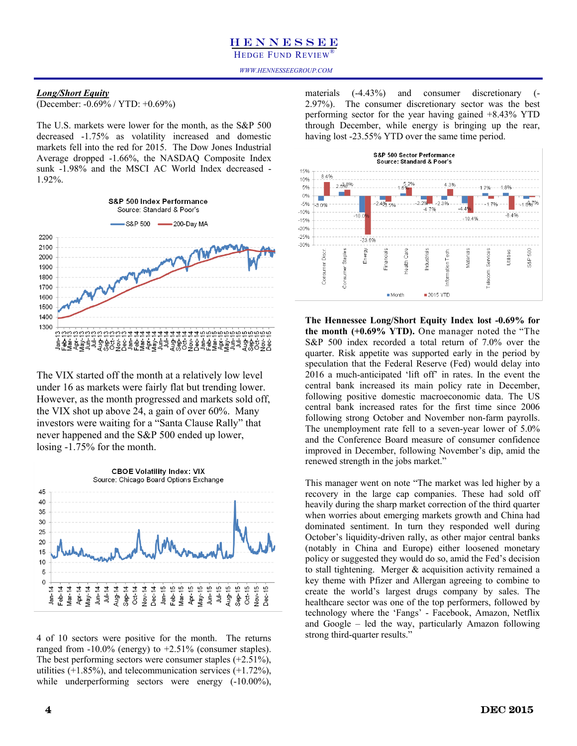### *Long/Short Equity*

(December: -0.69% / YTD: +0.69%)

The U.S. markets were lower for the month, as the S&P 500 decreased -1.75% as volatility increased and domestic markets fell into the red for 2015. The Dow Jones Industrial Average dropped -1.66%, the NASDAQ Composite Index sunk -1.98% and the MSCI AC World Index decreased - 1.92%.



The VIX started off the month at a relatively low level under 16 as markets were fairly flat but trending lower. However, as the month progressed and markets sold off, the VIX shot up above 24, a gain of over 60%. Many investors were waiting for a "Santa Clause Rally" that never happened and the S&P 500 ended up lower, losing -1.75% for the month.



4 of 10 sectors were positive for the month. The returns ranged from  $-10.0\%$  (energy) to  $+2.51\%$  (consumer staples). The best performing sectors were consumer staples (+2.51%), utilities  $(+1.85\%)$ , and telecommunication services  $(+1.72\%)$ , while underperforming sectors were energy  $(-10.00\%)$ ,

materials (-4.43%) and consumer discretionary (- 2.97%). The consumer discretionary sector was the best performing sector for the year having gained +8.43% YTD through December, while energy is bringing up the rear, having lost -23.55% YTD over the same time period.



**The Hennessee Long/Short Equity Index lost -0.69% for the month (+0.69% YTD).** One manager noted the "The S&P 500 index recorded a total return of 7.0% over the quarter. Risk appetite was supported early in the period by speculation that the Federal Reserve (Fed) would delay into 2016 a much-anticipated 'lift off' in rates. In the event the central bank increased its main policy rate in December, following positive domestic macroeconomic data. The US central bank increased rates for the first time since 2006 following strong October and November non-farm payrolls. The unemployment rate fell to a seven-year lower of 5.0% and the Conference Board measure of consumer confidence improved in December, following November's dip, amid the renewed strength in the jobs market."

This manager went on note "The market was led higher by a recovery in the large cap companies. These had sold off heavily during the sharp market correction of the third quarter when worries about emerging markets growth and China had dominated sentiment. In turn they responded well during October's liquidity-driven rally, as other major central banks (notably in China and Europe) either loosened monetary policy or suggested they would do so, amid the Fed's decision to stall tightening. Merger & acquisition activity remained a key theme with Pfizer and Allergan agreeing to combine to create the world's largest drugs company by sales. The healthcare sector was one of the top performers, followed by technology where the 'Fangs' - Facebook, Amazon, Netflix and Google – led the way, particularly Amazon following strong third-quarter results."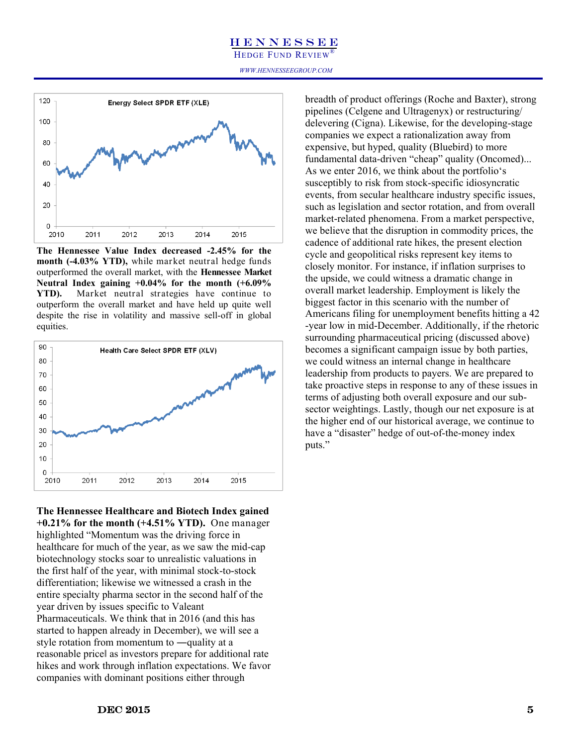HEDGE FUND REVIEW®

*WWW.HENNESSEEGROUP.COM*



**The Hennessee Value Index decreased -2.45% for the month (-4.03% YTD),** while market neutral hedge funds outperformed the overall market, with the **Hennessee Market Neutral Index gaining +0.04% for the month (+6.09% YTD).** Market neutral strategies have continue to outperform the overall market and have held up quite well despite the rise in volatility and massive sell-off in global equities.



**The Hennessee Healthcare and Biotech Index gained +0.21% for the month (+4.51% YTD).** One manager highlighted "Momentum was the driving force in healthcare for much of the year, as we saw the mid-cap biotechnology stocks soar to unrealistic valuations in the first half of the year, with minimal stock-to-stock differentiation; likewise we witnessed a crash in the entire specialty pharma sector in the second half of the year driven by issues specific to Valeant Pharmaceuticals. We think that in 2016 (and this has started to happen already in December), we will see a style rotation from momentum to ―quality at a reasonable price‖ as investors prepare for additional rate hikes and work through inflation expectations. We favor companies with dominant positions either through

breadth of product offerings (Roche and Baxter), strong pipelines (Celgene and Ultragenyx) or restructuring/ delevering (Cigna). Likewise, for the developing-stage companies we expect a rationalization away from expensive, but hyped, quality (Bluebird) to more fundamental data-driven "cheap" quality (Oncomed)... As we enter 2016, we think about the portfolio's susceptibly to risk from stock-specific idiosyncratic events, from secular healthcare industry specific issues, such as legislation and sector rotation, and from overall market-related phenomena. From a market perspective, we believe that the disruption in commodity prices, the cadence of additional rate hikes, the present election cycle and geopolitical risks represent key items to closely monitor. For instance, if inflation surprises to the upside, we could witness a dramatic change in overall market leadership. Employment is likely the biggest factor in this scenario with the number of Americans filing for unemployment benefits hitting a 42 -year low in mid-December. Additionally, if the rhetoric surrounding pharmaceutical pricing (discussed above) becomes a significant campaign issue by both parties, we could witness an internal change in healthcare leadership from products to payers. We are prepared to take proactive steps in response to any of these issues in terms of adjusting both overall exposure and our subsector weightings. Lastly, though our net exposure is at the higher end of our historical average, we continue to have a "disaster" hedge of out-of-the-money index puts."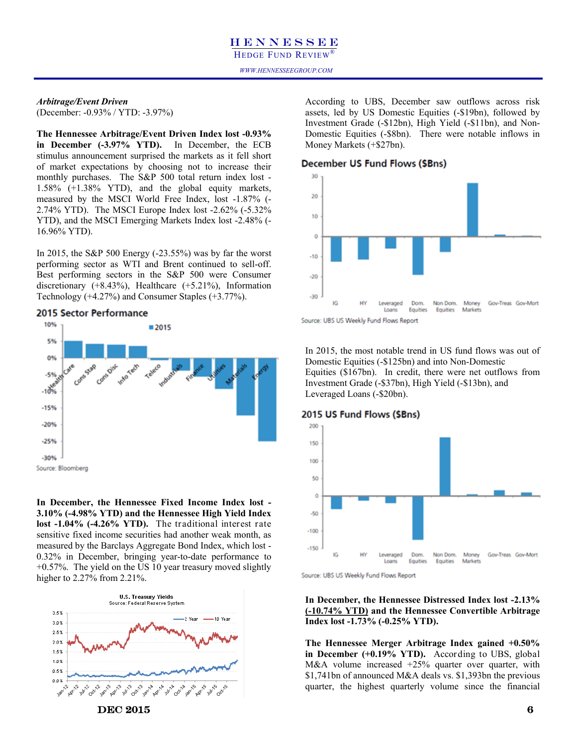### *WWW.HENNESSEEGROUP.COM*

### *Arbitrage/Event Driven* (December: -0.93% / YTD: -3.97%)

**The Hennessee Arbitrage/Event Driven Index lost -0.93% in December (-3.97% YTD).** In December, the ECB stimulus announcement surprised the markets as it fell short of market expectations by choosing not to increase their monthly purchases. The S&P 500 total return index lost - 1.58% (+1.38% YTD), and the global equity markets, measured by the MSCI World Free Index, lost -1.87% (- 2.74% YTD). The MSCI Europe Index lost -2.62% (-5.32% YTD), and the MSCI Emerging Markets Index lost -2.48% (- 16.96% YTD).

In 2015, the S&P 500 Energy (-23.55%) was by far the worst performing sector as WTI and Brent continued to sell-off. Best performing sectors in the S&P 500 were Consumer discretionary (+8.43%), Healthcare (+5.21%), Information Technology (+4.27%) and Consumer Staples (+3.77%).

### 2015 Sector Performance



**In December, the Hennessee Fixed Income Index lost - 3.10% (-4.98% YTD) and the Hennessee High Yield Index lost -1.04% (-4.26% YTD).** The traditional interest rate sensitive fixed income securities had another weak month, as measured by the Barclays Aggregate Bond Index, which lost - 0.32% in December, bringing year-to-date performance to +0.57%. The yield on the US 10 year treasury moved slightly higher to 2.27% from 2.21%.



According to UBS, December saw outflows across risk assets, led by US Domestic Equities (-\$19bn), followed by Investment Grade (-\$12bn), High Yield (-\$11bn), and Non-Domestic Equities (-\$8bn). There were notable inflows in Money Markets (+\$27bn).

### December US Fund Flows (\$Bns)





In 2015, the most notable trend in US fund flows was out of Domestic Equities (-\$125bn) and into Non-Domestic Equities (\$167bn). In credit, there were net outflows from Investment Grade (-\$37bn), High Yield (-\$13bn), and Leveraged Loans (-\$20bn).

### 2015 US Fund Flows (\$Bns)



Source: UBS US Weekly Fund Flows Report

### **In December, the Hennessee Distressed Index lost -2.13% (-10.74% YTD) and the Hennessee Convertible Arbitrage Index lost -1.73% (-0.25% YTD).**

**The Hennessee Merger Arbitrage Index gained +0.50% in December (+0.19% YTD).** According to UBS, global M&A volume increased +25% quarter over quarter, with \$1,741bn of announced M&A deals vs. \$1,393bn the previous quarter, the highest quarterly volume since the financial

 $\bf DEC\ 2015$  6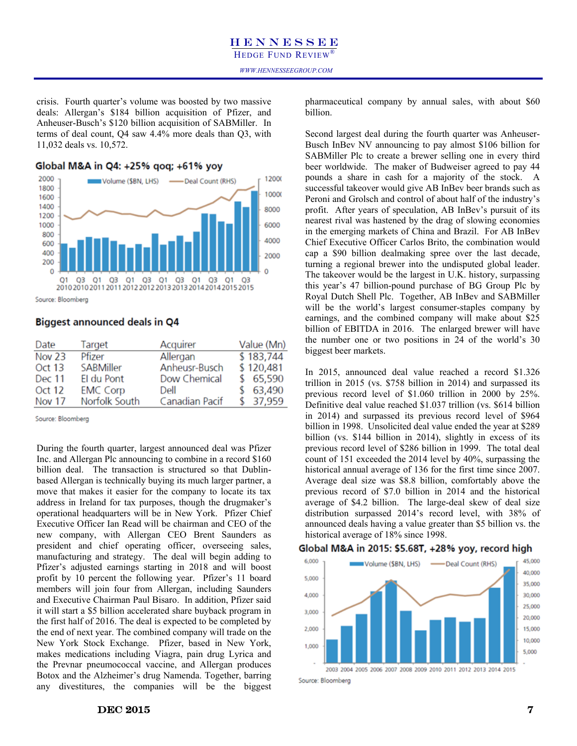crisis. Fourth quarter's volume was boosted by two massive deals: Allergan's \$184 billion acquisition of Pfizer, and Anheuser-Busch's \$120 billion acquisition of SABMiller. In terms of deal count, Q4 saw 4.4% more deals than Q3, with 11,032 deals vs. 10,572.

### Global M&A in Q4: +25% gog; +61% yoy



### Source: Bloomberg

### **Biggest announced deals in Q4**

| Date          | Target          | Acquirer       | Value (Mn) |
|---------------|-----------------|----------------|------------|
| Nov 23        | Pfizer          | Allergan       | \$183,744  |
| Oct 13        | SABMiller       | Anheusr-Busch  | \$120,481  |
| <b>Dec 11</b> | El du Pont      | Dow Chemical   | \$65,590   |
| Oct 12        | <b>EMC Corp</b> | Dell           | \$63,490   |
| <b>Nov 17</b> | Norfolk South   | Canadian Pacif | \$37,959   |

Source: Bloomberg

During the fourth quarter, largest announced deal was Pfizer Inc. and Allergan Plc announcing to combine in a record \$160 billion deal. The transaction is structured so that Dublinbased Allergan is technically buying its much larger partner, a move that makes it easier for the company to locate its tax address in Ireland for tax purposes, though the drugmaker's operational headquarters will be in New York. Pfizer Chief Executive Officer Ian Read will be chairman and CEO of the new company, with Allergan CEO Brent Saunders as president and chief operating officer, overseeing sales, manufacturing and strategy. The deal will begin adding to Pfizer's adjusted earnings starting in 2018 and will boost profit by 10 percent the following year. Pfizer's 11 board members will join four from Allergan, including Saunders and Executive Chairman Paul Bisaro. In addition, Pfizer said it will start a \$5 billion accelerated share buyback program in the first half of 2016. The deal is expected to be completed by the end of next year. The combined company will trade on the New York Stock Exchange. Pfizer, based in New York, makes medications including Viagra, pain drug Lyrica and the Prevnar pneumococcal vaccine, and Allergan produces Botox and the Alzheimer's drug Namenda. Together, barring any divestitures, the companies will be the biggest pharmaceutical company by annual sales, with about \$60 billion.

Second largest deal during the fourth quarter was Anheuser-Busch InBev NV announcing to pay almost \$106 billion for SABMiller Plc to create a brewer selling one in every third beer worldwide. The maker of Budweiser agreed to pay 44 pounds a share in cash for a majority of the stock. A successful takeover would give AB InBev beer brands such as Peroni and Grolsch and control of about half of the industry's profit. After years of speculation, AB InBev's pursuit of its nearest rival was hastened by the drag of slowing economies in the emerging markets of China and Brazil. For AB InBev Chief Executive Officer Carlos Brito, the combination would cap a \$90 billion dealmaking spree over the last decade, turning a regional brewer into the undisputed global leader. The takeover would be the largest in U.K. history, surpassing this year's 47 billion-pound purchase of BG Group Plc by Royal Dutch Shell Plc. Together, AB InBev and SABMiller will be the world's largest consumer-staples company by earnings, and the combined company will make about \$25 billion of EBITDA in 2016. The enlarged brewer will have the number one or two positions in 24 of the world's 30 biggest beer markets.

In 2015, announced deal value reached a record \$1.326 trillion in 2015 (vs. \$758 billion in 2014) and surpassed its previous record level of \$1.060 trillion in 2000 by 25%. Definitive deal value reached \$1.037 trillion (vs. \$614 billion in 2014) and surpassed its previous record level of \$964 billion in 1998. Unsolicited deal value ended the year at \$289 billion (vs. \$144 billion in 2014), slightly in excess of its previous record level of \$286 billion in 1999. The total deal count of 151 exceeded the 2014 level by 40%, surpassing the historical annual average of 136 for the first time since 2007. Average deal size was \$8.8 billion, comfortably above the previous record of \$7.0 billion in 2014 and the historical average of \$4.2 billion. The large-deal skew of deal size distribution surpassed 2014's record level, with 38% of announced deals having a value greater than \$5 billion vs. the historical average of 18% since 1998.

### Global M&A in 2015: \$5.68T, +28% yoy, record high

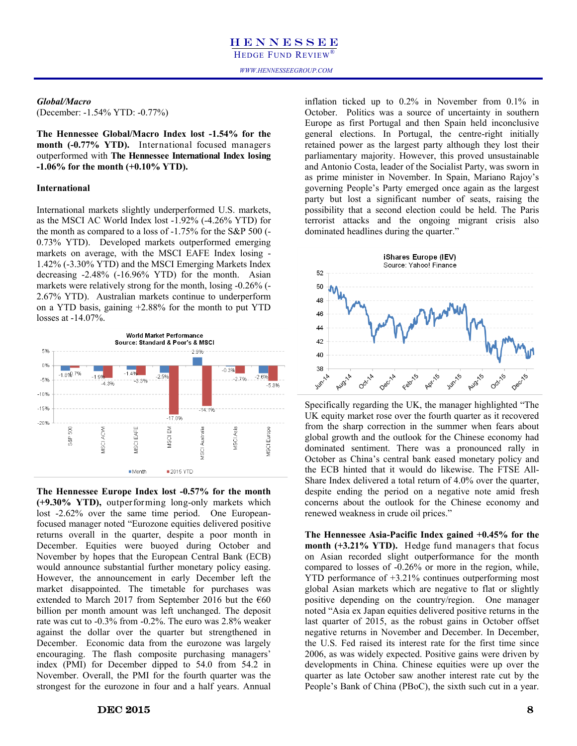### *WWW.HENNESSEEGROUP.COM*

### *Global/Macro*

(December: -1.54% YTD: -0.77%)

**The Hennessee Global/Macro Index lost -1.54% for the month (-0.77% YTD).** International focused managers outperformed with **The Hennessee International Index losing -1.06% for the month (+0.10% YTD).**

### **International**

International markets slightly underperformed U.S. markets, as the MSCI AC World Index lost -1.92% (-4.26% YTD) for the month as compared to a loss of -1.75% for the S&P 500 (- 0.73% YTD). Developed markets outperformed emerging markets on average, with the MSCI EAFE Index losing - 1.42% (-3.30% YTD) and the MSCI Emerging Markets Index decreasing -2.48% (-16.96% YTD) for the month. Asian markets were relatively strong for the month, losing -0.26% (- 2.67% YTD). Australian markets continue to underperform on a YTD basis, gaining +2.88% for the month to put YTD losses at -14.07%.



**The Hennessee Europe Index lost -0.57% for the month (+9.30% YTD),** outperforming long-only markets which lost -2.62% over the same time period. One Europeanfocused manager noted "Eurozone equities delivered positive returns overall in the quarter, despite a poor month in December. Equities were buoyed during October and November by hopes that the European Central Bank (ECB) would announce substantial further monetary policy easing. However, the announcement in early December left the market disappointed. The timetable for purchases was extended to March 2017 from September 2016 but the  $€60$ billion per month amount was left unchanged. The deposit rate was cut to -0.3% from -0.2%. The euro was 2.8% weaker against the dollar over the quarter but strengthened in December. Economic data from the eurozone was largely encouraging. The flash composite purchasing managers' index (PMI) for December dipped to 54.0 from 54.2 in November. Overall, the PMI for the fourth quarter was the strongest for the eurozone in four and a half years. Annual

 $\overline{\text{DEC 2015}}$  8

inflation ticked up to 0.2% in November from 0.1% in October. Politics was a source of uncertainty in southern Europe as first Portugal and then Spain held inconclusive general elections. In Portugal, the centre-right initially retained power as the largest party although they lost their parliamentary majority. However, this proved unsustainable and Antonio Costa, leader of the Socialist Party, was sworn in as prime minister in November. In Spain, Mariano Rajoy's governing People's Party emerged once again as the largest party but lost a significant number of seats, raising the possibility that a second election could be held. The Paris terrorist attacks and the ongoing migrant crisis also dominated headlines during the quarter."



Specifically regarding the UK, the manager highlighted "The UK equity market rose over the fourth quarter as it recovered from the sharp correction in the summer when fears about global growth and the outlook for the Chinese economy had dominated sentiment. There was a pronounced rally in October as China's central bank eased monetary policy and the ECB hinted that it would do likewise. The FTSE All-Share Index delivered a total return of 4.0% over the quarter, despite ending the period on a negative note amid fresh concerns about the outlook for the Chinese economy and renewed weakness in crude oil prices."

**The Hennessee Asia-Pacific Index gained +0.45% for the month (+3.21% YTD).** Hedge fund managers that focus on Asian recorded slight outperformance for the month compared to losses of -0.26% or more in the region, while, YTD performance of +3.21% continues outperforming most global Asian markets which are negative to flat or slightly positive depending on the country/region. One manager noted "Asia ex Japan equities delivered positive returns in the last quarter of 2015, as the robust gains in October offset negative returns in November and December. In December, the U.S. Fed raised its interest rate for the first time since 2006, as was widely expected. Positive gains were driven by developments in China. Chinese equities were up over the quarter as late October saw another interest rate cut by the People's Bank of China (PBoC), the sixth such cut in a year.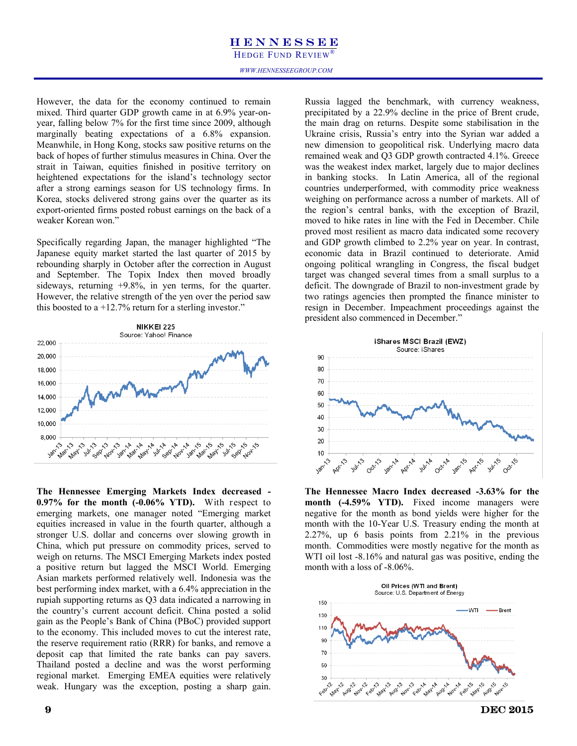HEDGE FUND REVIEW®

However, the data for the economy continued to remain mixed. Third quarter GDP growth came in at 6.9% year-onyear, falling below 7% for the first time since 2009, although marginally beating expectations of a 6.8% expansion. Meanwhile, in Hong Kong, stocks saw positive returns on the back of hopes of further stimulus measures in China. Over the strait in Taiwan, equities finished in positive territory on heightened expectations for the island's technology sector after a strong earnings season for US technology firms. In Korea, stocks delivered strong gains over the quarter as its export-oriented firms posted robust earnings on the back of a weaker Korean won."

Specifically regarding Japan, the manager highlighted "The Japanese equity market started the last quarter of 2015 by rebounding sharply in October after the correction in August and September. The Topix Index then moved broadly sideways, returning +9.8%, in yen terms, for the quarter. However, the relative strength of the yen over the period saw this boosted to a  $+12.7\%$  return for a sterling investor."



**The Hennessee Emerging Markets Index decreased - 0.97% for the month (-0.06% YTD).** With respect to emerging markets, one manager noted "Emerging market equities increased in value in the fourth quarter, although a stronger U.S. dollar and concerns over slowing growth in China, which put pressure on commodity prices, served to weigh on returns. The MSCI Emerging Markets index posted a positive return but lagged the MSCI World. Emerging Asian markets performed relatively well. Indonesia was the best performing index market, with a 6.4% appreciation in the rupiah supporting returns as Q3 data indicated a narrowing in the country's current account deficit. China posted a solid gain as the People's Bank of China (PBoC) provided support to the economy. This included moves to cut the interest rate, the reserve requirement ratio (RRR) for banks, and remove a deposit cap that limited the rate banks can pay savers. Thailand posted a decline and was the worst performing regional market. Emerging EMEA equities were relatively weak. Hungary was the exception, posting a sharp gain.

Russia lagged the benchmark, with currency weakness, precipitated by a 22.9% decline in the price of Brent crude, the main drag on returns. Despite some stabilisation in the Ukraine crisis, Russia's entry into the Syrian war added a new dimension to geopolitical risk. Underlying macro data remained weak and Q3 GDP growth contracted 4.1%. Greece was the weakest index market, largely due to major declines in banking stocks. In Latin America, all of the regional countries underperformed, with commodity price weakness weighing on performance across a number of markets. All of the region's central banks, with the exception of Brazil, moved to hike rates in line with the Fed in December. Chile proved most resilient as macro data indicated some recovery and GDP growth climbed to 2.2% year on year. In contrast, economic data in Brazil continued to deteriorate. Amid ongoing political wrangling in Congress, the fiscal budget target was changed several times from a small surplus to a deficit. The downgrade of Brazil to non-investment grade by two ratings agencies then prompted the finance minister to resign in December. Impeachment proceedings against the president also commenced in December."



**The Hennessee Macro Index decreased -3.63% for the month (-4.59% YTD).** Fixed income managers were negative for the month as bond yields were higher for the month with the 10-Year U.S. Treasury ending the month at 2.27%, up 6 basis points from 2.21% in the previous month. Commodities were mostly negative for the month as WTI oil lost  $-8.16\%$  and natural gas was positive, ending the month with a loss of -8.06%.



 $9 \t\t\t DEC 2015$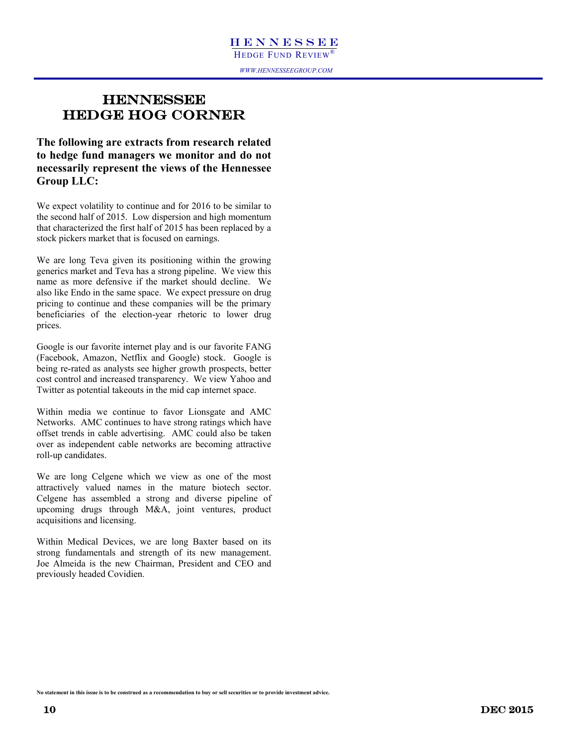### *WWW.HENNESSEEGROUP.COM*

### **HENNESSEE** HEDGE HOG CORNER

**The following are extracts from research related to hedge fund managers we monitor and do not necessarily represent the views of the Hennessee Group LLC:**

We expect volatility to continue and for 2016 to be similar to the second half of 2015. Low dispersion and high momentum that characterized the first half of 2015 has been replaced by a stock pickers market that is focused on earnings.

We are long Teva given its positioning within the growing generics market and Teva has a strong pipeline. We view this name as more defensive if the market should decline. We also like Endo in the same space. We expect pressure on drug pricing to continue and these companies will be the primary beneficiaries of the election-year rhetoric to lower drug prices.

Google is our favorite internet play and is our favorite FANG (Facebook, Amazon, Netflix and Google) stock. Google is being re-rated as analysts see higher growth prospects, better cost control and increased transparency. We view Yahoo and Twitter as potential takeouts in the mid cap internet space.

Within media we continue to favor Lionsgate and AMC Networks. AMC continues to have strong ratings which have offset trends in cable advertising. AMC could also be taken over as independent cable networks are becoming attractive roll-up candidates.

We are long Celgene which we view as one of the most attractively valued names in the mature biotech sector. Celgene has assembled a strong and diverse pipeline of upcoming drugs through M&A, joint ventures, product acquisitions and licensing.

Within Medical Devices, we are long Baxter based on its strong fundamentals and strength of its new management. Joe Almeida is the new Chairman, President and CEO and previously headed Covidien.

**No statement in this issue is to be construed as a recommendation to buy or sell securities or to provide investment advice.**